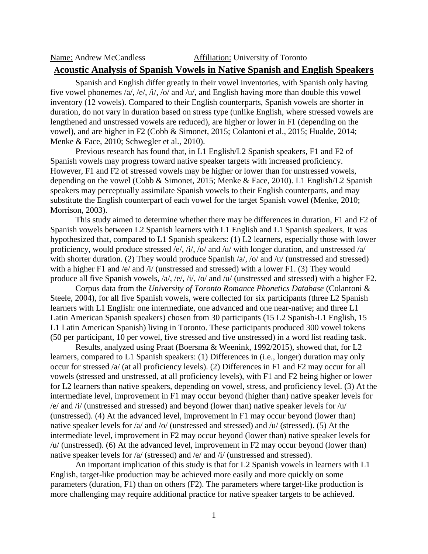## Name: Andrew McCandless Affiliation: University of Toronto **Acoustic Analysis of Spanish Vowels in Native Spanish and English Speakers**

Spanish and English differ greatly in their vowel inventories, with Spanish only having five vowel phonemes /a/, /e/, /i/, /o/ and /u/, and English having more than double this vowel inventory (12 vowels). Compared to their English counterparts, Spanish vowels are shorter in duration, do not vary in duration based on stress type (unlike English, where stressed vowels are lengthened and unstressed vowels are reduced), are higher or lower in F1 (depending on the vowel), and are higher in F2 (Cobb & Simonet, 2015; Colantoni et al., 2015; Hualde, 2014; Menke & Face, 2010; Schwegler et al., 2010).

Previous research has found that, in L1 English/L2 Spanish speakers, F1 and F2 of Spanish vowels may progress toward native speaker targets with increased proficiency. However, F1 and F2 of stressed vowels may be higher or lower than for unstressed vowels, depending on the vowel (Cobb & Simonet, 2015; Menke & Face, 2010). L1 English/L2 Spanish speakers may perceptually assimilate Spanish vowels to their English counterparts, and may substitute the English counterpart of each vowel for the target Spanish vowel (Menke, 2010; Morrison, 2003).

This study aimed to determine whether there may be differences in duration, F1 and F2 of Spanish vowels between L2 Spanish learners with L1 English and L1 Spanish speakers. It was hypothesized that, compared to L1 Spanish speakers: (1) L2 learners, especially those with lower proficiency, would produce stressed /e/, /i/, /o/ and /u/ with longer duration, and unstressed /a/ with shorter duration. (2) They would produce Spanish /a/, /o/ and /u/ (unstressed and stressed) with a higher F1 and /e/ and /i/ (unstressed and stressed) with a lower F1. (3) They would produce all five Spanish vowels, /a/, /e/, /i/, /o/ and /u/ (unstressed and stressed) with a higher F2.

Corpus data from the *University of Toronto Romance Phonetics Database* (Colantoni & Steele, 2004), for all five Spanish vowels, were collected for six participants (three L2 Spanish learners with L1 English: one intermediate, one advanced and one near-native; and three L1 Latin American Spanish speakers) chosen from 30 participants (15 L2 Spanish-L1 English, 15 L1 Latin American Spanish) living in Toronto. These participants produced 300 vowel tokens (50 per participant, 10 per vowel, five stressed and five unstressed) in a word list reading task.

Results, analyzed using Praat (Boersma & Weenink, 1992/2015), showed that, for L2 learners, compared to L1 Spanish speakers: (1) Differences in (i.e., longer) duration may only occur for stressed /a/ (at all proficiency levels). (2) Differences in F1 and F2 may occur for all vowels (stressed and unstressed, at all proficiency levels), with F1 and F2 being higher or lower for L2 learners than native speakers, depending on vowel, stress, and proficiency level. (3) At the intermediate level, improvement in F1 may occur beyond (higher than) native speaker levels for /e/ and /i/ (unstressed and stressed) and beyond (lower than) native speaker levels for /u/ (unstressed). (4) At the advanced level, improvement in F1 may occur beyond (lower than) native speaker levels for /a/ and /o/ (unstressed and stressed) and /u/ (stressed). (5) At the intermediate level, improvement in F2 may occur beyond (lower than) native speaker levels for /u/ (unstressed). (6) At the advanced level, improvement in F2 may occur beyond (lower than) native speaker levels for /a/ (stressed) and /e/ and /i/ (unstressed and stressed).

An important implication of this study is that for L2 Spanish vowels in learners with L1 English, target-like production may be achieved more easily and more quickly on some parameters (duration, F1) than on others (F2). The parameters where target-like production is more challenging may require additional practice for native speaker targets to be achieved.